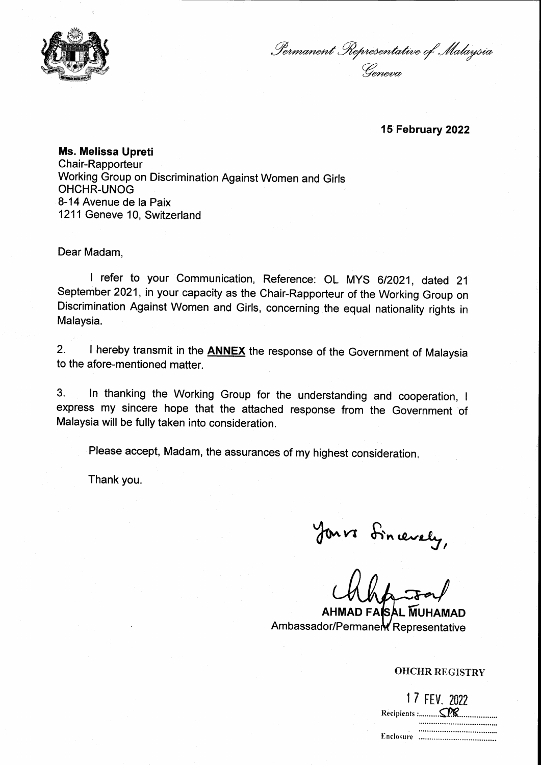

*^^e^^e'^Ja'*

**15 February 2022**

**Ms. Melissa Upreti** Chair-Rapporteur Working Group on Discrimination Against Women and Girls OHCHR-UNOG 8-14 Avenue de la Paix 1211 Geneve 10, Switzerland

Dear Madam

<sup>I</sup> refer to your Communication, Reference: OL MYS 6/2021, dated 21 September 2021, in your capacity as the Chair-Rapporteur of the Working Group on Discrimination Against Women and Girls, concerning the equal nationality rights in Malaysia.

2. <sup>I</sup> hereby transmit in the **ANNEX** the response of the Government of Malaysia to the afore-mentioned matter.

3. In thanking the Working Group for the understanding and cooperation, <sup>I</sup> express my sincere hope that the attached response from the Government of Malaysia will be fully taken into consideration.

Please accept. Madam, the assurances of my highest consideration.

Thank you.

Jours dincerely,

**AHMAD FAISAL MUHAMAD** Ambassador/Permanent Representative

## OHCHR REGISTRY

|           | 1 7 FEV. 2022 |  |
|-----------|---------------|--|
|           |               |  |
|           |               |  |
| Enclosure |               |  |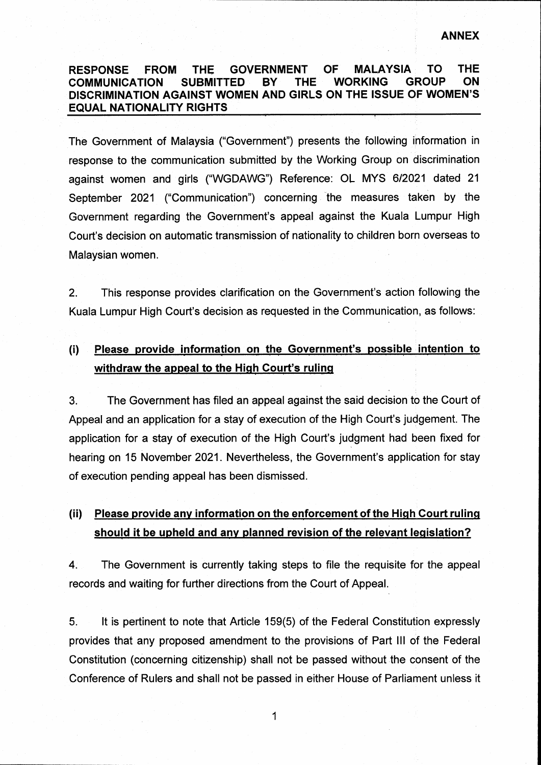## **RESPONSE FROM THE GOVERNMENT OF MALAYSIA TO THE COMMUNICATION SUBMITTED BY THE WORKING GROUP ON DISCRIMINATION AGAINST WOMEN AND GIRLS ON THE ISSUE OF WOMEN'S EQUAL NATIONALITY RIGHTS**

The Government of Malaysia ("Government") presents the following information in response to the communication submitted by the Working Group on discrimination against women and girls ("WGDAWG") Reference: OL MYS 6/2021 dated 21 September 2021 ("Communication") concerning the measures taken by the Government regarding the Government's appeal against the Kuala Lumpur High Court's decision on automatic transmission of nationality to children born overseas to Malaysian women.

This response provides clarification on the Government's action following the Kuala Lumpur High Court's decision as requested in the Communication, as follows: 2.

## (i) **Please provide information on the Government's possible intention to withdraw the appeal to the High Court's ruling**

3. The Government has filed an appeal against the said decision to the Court of Appeal and an application for a stay of execution of the High Court's judgement. The application for a stay of execution of the High Court's judgment had been fixed for hearing on 15 November 2021. Nevertheless, the Government's application for stay of execution pending appeal has been dismissed.

## **(ii) Please provide any information on the enforcement of the High Court ruling should it be upheld and any planned revision of the relevant legislation?**

4. The Government is currently taking steps to file the requisite for the appeal records and waiting for further directions from the Court of Appeal.

5. It Is pertinent to note that Article 159(5) of the Federal Constitution expressly provides that any proposed amendment to the provisions of Part III of the Federal Constitution (concerning citizenship) shall not be passed without the consent of the Conference of Rulers and shall not be passed in either House of Parliament unless it

**1**